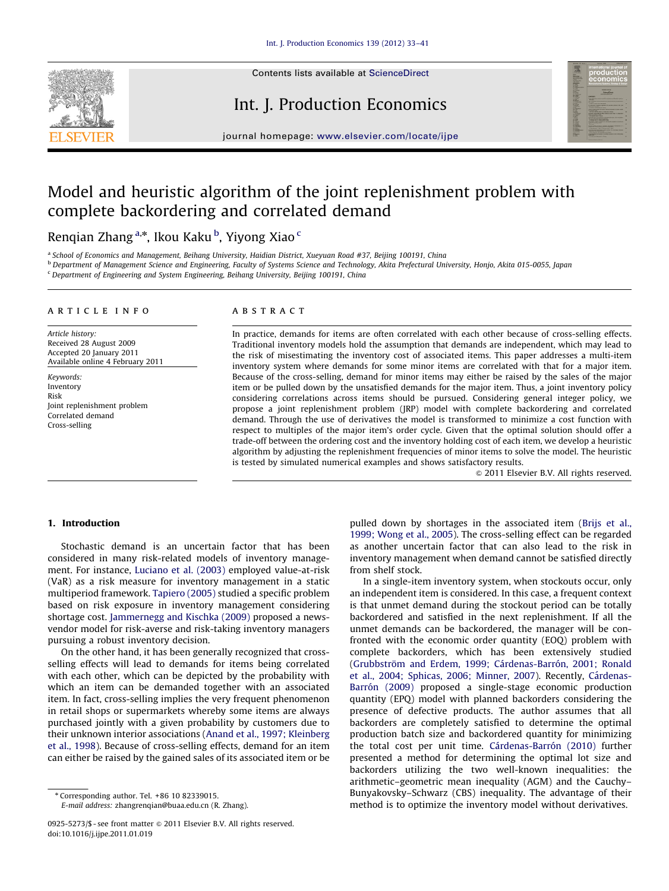

Contents lists available at ScienceDirect

# Int. J. Production Economics



journal homepage: <www.elsevier.com/locate/ijpe>

# Model and heuristic algorithm of the joint replenishment problem with complete backordering and correlated demand

Renqian Zhang<sup>a,</sup>\*, Ikou Kaku <sup>b</sup>, Yiyong Xiao <sup>c</sup>

a School of Economics and Management, Beihang University, Haidian District, Xueyuan Road #37, Beijing 100191, China

**b Department of Management Science and Engineering, Faculty of Systems Science and Technology, Akita Prefectural University, Honjo, Akita 015-0055, Japan** 

 $c$  Department of Engineering and System Engineering, Beihang University, Beijing 100191, China

#### article info

Article history: Received 28 August 2009 Accepted 20 January 2011 Available online 4 February 2011

Keywords: Inventory Risk Joint replenishment problem Correlated demand Cross-selling

## **ABSTRACT**

In practice, demands for items are often correlated with each other because of cross-selling effects. Traditional inventory models hold the assumption that demands are independent, which may lead to the risk of misestimating the inventory cost of associated items. This paper addresses a multi-item inventory system where demands for some minor items are correlated with that for a major item. Because of the cross-selling, demand for minor items may either be raised by the sales of the major item or be pulled down by the unsatisfied demands for the major item. Thus, a joint inventory policy considering correlations across items should be pursued. Considering general integer policy, we propose a joint replenishment problem (JRP) model with complete backordering and correlated demand. Through the use of derivatives the model is transformed to minimize a cost function with respect to multiples of the major item's order cycle. Given that the optimal solution should offer a trade-off between the ordering cost and the inventory holding cost of each item, we develop a heuristic algorithm by adjusting the replenishment frequencies of minor items to solve the model. The heuristic is tested by simulated numerical examples and shows satisfactory results.

 $@$  2011 Elsevier B.V. All rights reserved.

## 1. Introduction

Stochastic demand is an uncertain factor that has been considered in many risk-related models of inventory management. For instance, [Luciano et al. \(2003\)](#page--1-0) employed value-at-risk (VaR) as a risk measure for inventory management in a static multiperiod framework. [Tapiero \(2005\)](#page--1-0) studied a specific problem based on risk exposure in inventory management considering shortage cost. [Jammernegg and Kischka \(2009\)](#page--1-0) proposed a newsvendor model for risk-averse and risk-taking inventory managers pursuing a robust inventory decision.

On the other hand, it has been generally recognized that crossselling effects will lead to demands for items being correlated with each other, which can be depicted by the probability with which an item can be demanded together with an associated item. In fact, cross-selling implies the very frequent phenomenon in retail shops or supermarkets whereby some items are always purchased jointly with a given probability by customers due to their unknown interior associations ([Anand et al., 1997; Kleinberg](#page--1-0) [et al., 1998](#page--1-0)). Because of cross-selling effects, demand for an item can either be raised by the gained sales of its associated item or be

E-mail address: [zhangrenqian@buaa.edu.cn \(R. Zhang\).](mailto:zhangrenqian@buaa.edu.cn)

pulled down by shortages in the associated item ([Brijs et al.,](#page--1-0) [1999; Wong et al., 2005\)](#page--1-0). The cross-selling effect can be regarded as another uncertain factor that can also lead to the risk in inventory management when demand cannot be satisfied directly from shelf stock.

In a single-item inventory system, when stockouts occur, only an independent item is considered. In this case, a frequent context is that unmet demand during the stockout period can be totally backordered and satisfied in the next replenishment. If all the unmet demands can be backordered, the manager will be confronted with the economic order quantity (EOQ) problem with complete backorders, which has been extensively studied (Grubbström and Erdem, 1999; Cárdenas-Barrón, 2001; Ronald [et al., 2004; Sphicas, 2006; Minner, 2007\)](#page--1-0). Recently, Cá[rdenas-](#page--1-0)Barrón (2009) proposed a single-stage economic production quantity (EPQ) model with planned backorders considering the presence of defective products. The author assumes that all backorders are completely satisfied to determine the optimal production batch size and backordered quantity for minimizing the total cost per unit time. Cárdenas-Barrón (2010) further presented a method for determining the optimal lot size and backorders utilizing the two well-known inequalities: the arithmetic–geometric mean inequality (AGM) and the Cauchy– Bunyakovsky–Schwarz (CBS) inequality. The advantage of their method is to optimize the inventory model without derivatives.

<sup>n</sup> Corresponding author. Tel. +86 10 82339015.

<sup>0925-5273/\$ -</sup> see front matter @ 2011 Elsevier B.V. All rights reserved. doi:[10.1016/j.ijpe.2011.01.019](dx.doi.org/10.1016/j.ijpe.2011.01.019)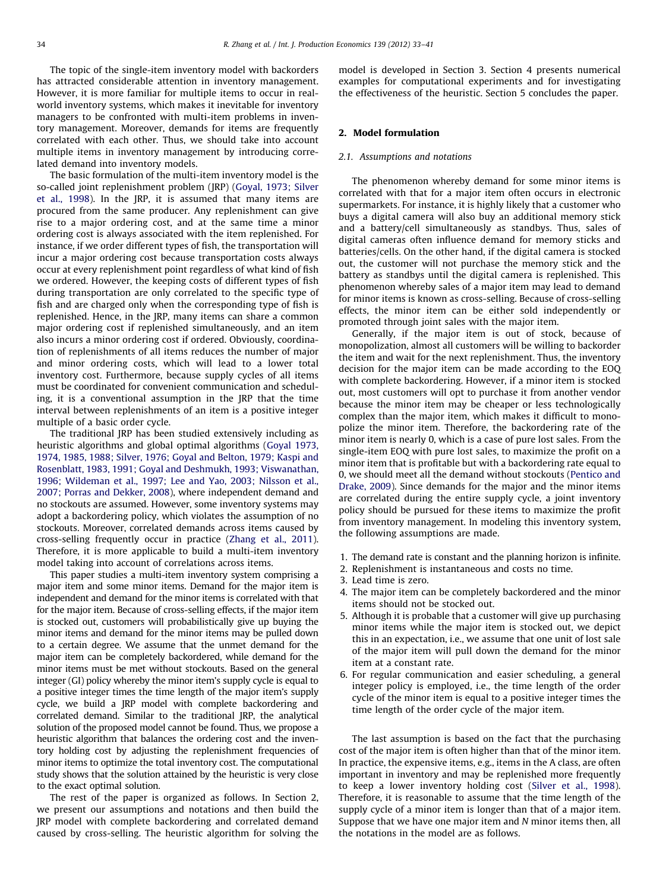The topic of the single-item inventory model with backorders has attracted considerable attention in inventory management. However, it is more familiar for multiple items to occur in realworld inventory systems, which makes it inevitable for inventory managers to be confronted with multi-item problems in inventory management. Moreover, demands for items are frequently correlated with each other. Thus, we should take into account multiple items in inventory management by introducing correlated demand into inventory models.

The basic formulation of the multi-item inventory model is the so-called joint replenishment problem (JRP) ([Goyal, 1973; Silver](#page--1-0) [et al., 1998\)](#page--1-0). In the JRP, it is assumed that many items are procured from the same producer. Any replenishment can give rise to a major ordering cost, and at the same time a minor ordering cost is always associated with the item replenished. For instance, if we order different types of fish, the transportation will incur a major ordering cost because transportation costs always occur at every replenishment point regardless of what kind of fish we ordered. However, the keeping costs of different types of fish during transportation are only correlated to the specific type of fish and are charged only when the corresponding type of fish is replenished. Hence, in the JRP, many items can share a common major ordering cost if replenished simultaneously, and an item also incurs a minor ordering cost if ordered. Obviously, coordination of replenishments of all items reduces the number of major and minor ordering costs, which will lead to a lower total inventory cost. Furthermore, because supply cycles of all items must be coordinated for convenient communication and scheduling, it is a conventional assumption in the JRP that the time interval between replenishments of an item is a positive integer multiple of a basic order cycle.

The traditional JRP has been studied extensively including as heuristic algorithms and global optimal algorithms ([Goyal 1973,](#page--1-0) [1974, 1985, 1988; Silver, 1976; Goyal and Belton, 1979; Kaspi and](#page--1-0) [Rosenblatt, 1983, 1991; Goyal and Deshmukh, 1993; Viswanathan,](#page--1-0) [1996; Wildeman et al., 1997; Lee and Yao, 2003; Nilsson et al.,](#page--1-0) [2007; Porras and Dekker, 2008](#page--1-0)), where independent demand and no stockouts are assumed. However, some inventory systems may adopt a backordering policy, which violates the assumption of no stockouts. Moreover, correlated demands across items caused by cross-selling frequently occur in practice [\(Zhang et al., 2011\)](#page--1-0). Therefore, it is more applicable to build a multi-item inventory model taking into account of correlations across items.

This paper studies a multi-item inventory system comprising a major item and some minor items. Demand for the major item is independent and demand for the minor items is correlated with that for the major item. Because of cross-selling effects, if the major item is stocked out, customers will probabilistically give up buying the minor items and demand for the minor items may be pulled down to a certain degree. We assume that the unmet demand for the major item can be completely backordered, while demand for the minor items must be met without stockouts. Based on the general integer (GI) policy whereby the minor item's supply cycle is equal to a positive integer times the time length of the major item's supply cycle, we build a JRP model with complete backordering and correlated demand. Similar to the traditional JRP, the analytical solution of the proposed model cannot be found. Thus, we propose a heuristic algorithm that balances the ordering cost and the inventory holding cost by adjusting the replenishment frequencies of minor items to optimize the total inventory cost. The computational study shows that the solution attained by the heuristic is very close to the exact optimal solution.

The rest of the paper is organized as follows. In Section 2, we present our assumptions and notations and then build the JRP model with complete backordering and correlated demand caused by cross-selling. The heuristic algorithm for solving the model is developed in Section 3. Section 4 presents numerical examples for computational experiments and for investigating the effectiveness of the heuristic. Section 5 concludes the paper.

### 2. Model formulation

### 2.1. Assumptions and notations

The phenomenon whereby demand for some minor items is correlated with that for a major item often occurs in electronic supermarkets. For instance, it is highly likely that a customer who buys a digital camera will also buy an additional memory stick and a battery/cell simultaneously as standbys. Thus, sales of digital cameras often influence demand for memory sticks and batteries/cells. On the other hand, if the digital camera is stocked out, the customer will not purchase the memory stick and the battery as standbys until the digital camera is replenished. This phenomenon whereby sales of a major item may lead to demand for minor items is known as cross-selling. Because of cross-selling effects, the minor item can be either sold independently or promoted through joint sales with the major item.

Generally, if the major item is out of stock, because of monopolization, almost all customers will be willing to backorder the item and wait for the next replenishment. Thus, the inventory decision for the major item can be made according to the EOQ with complete backordering. However, if a minor item is stocked out, most customers will opt to purchase it from another vendor because the minor item may be cheaper or less technologically complex than the major item, which makes it difficult to monopolize the minor item. Therefore, the backordering rate of the minor item is nearly 0, which is a case of pure lost sales. From the single-item EOQ with pure lost sales, to maximize the profit on a minor item that is profitable but with a backordering rate equal to 0, we should meet all the demand without stockouts [\(Pentico and](#page--1-0) [Drake, 2009](#page--1-0)). Since demands for the major and the minor items are correlated during the entire supply cycle, a joint inventory policy should be pursued for these items to maximize the profit from inventory management. In modeling this inventory system, the following assumptions are made.

- 1. The demand rate is constant and the planning horizon is infinite.
- 2. Replenishment is instantaneous and costs no time.
- 3. Lead time is zero.
- 4. The major item can be completely backordered and the minor items should not be stocked out.
- 5. Although it is probable that a customer will give up purchasing minor items while the major item is stocked out, we depict this in an expectation, i.e., we assume that one unit of lost sale of the major item will pull down the demand for the minor item at a constant rate.
- 6. For regular communication and easier scheduling, a general integer policy is employed, i.e., the time length of the order cycle of the minor item is equal to a positive integer times the time length of the order cycle of the major item.

The last assumption is based on the fact that the purchasing cost of the major item is often higher than that of the minor item. In practice, the expensive items, e.g., items in the A class, are often important in inventory and may be replenished more frequently to keep a lower inventory holding cost ([Silver et al., 1998\)](#page--1-0). Therefore, it is reasonable to assume that the time length of the supply cycle of a minor item is longer than that of a major item. Suppose that we have one major item and N minor items then, all the notations in the model are as follows.